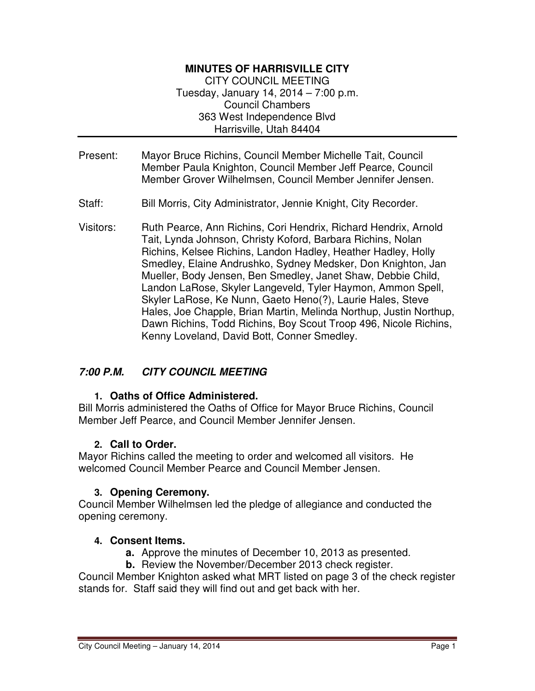## **MINUTES OF HARRISVILLE CITY**

CITY COUNCIL MEETING Tuesday, January 14, 2014 – 7:00 p.m. Council Chambers 363 West Independence Blvd Harrisville, Utah 84404

- Present: Mayor Bruce Richins, Council Member Michelle Tait, Council Member Paula Knighton, Council Member Jeff Pearce, Council Member Grover Wilhelmsen, Council Member Jennifer Jensen.
- Staff: Bill Morris, City Administrator, Jennie Knight, City Recorder.
- Visitors: Ruth Pearce, Ann Richins, Cori Hendrix, Richard Hendrix, Arnold Tait, Lynda Johnson, Christy Koford, Barbara Richins, Nolan Richins, Kelsee Richins, Landon Hadley, Heather Hadley, Holly Smedley, Elaine Andrushko, Sydney Medsker, Don Knighton, Jan Mueller, Body Jensen, Ben Smedley, Janet Shaw, Debbie Child, Landon LaRose, Skyler Langeveld, Tyler Haymon, Ammon Spell, Skyler LaRose, Ke Nunn, Gaeto Heno(?), Laurie Hales, Steve Hales, Joe Chapple, Brian Martin, Melinda Northup, Justin Northup, Dawn Richins, Todd Richins, Boy Scout Troop 496, Nicole Richins, Kenny Loveland, David Bott, Conner Smedley.

### **7:00 P.M. CITY COUNCIL MEETING**

### **1. Oaths of Office Administered.**

Bill Morris administered the Oaths of Office for Mayor Bruce Richins, Council Member Jeff Pearce, and Council Member Jennifer Jensen.

### **2. Call to Order.**

Mayor Richins called the meeting to order and welcomed all visitors. He welcomed Council Member Pearce and Council Member Jensen.

### **3. Opening Ceremony.**

Council Member Wilhelmsen led the pledge of allegiance and conducted the opening ceremony.

### **4. Consent Items.**

- **a.** Approve the minutes of December 10, 2013 as presented.
- **b.** Review the November/December 2013 check register.

Council Member Knighton asked what MRT listed on page 3 of the check register stands for. Staff said they will find out and get back with her.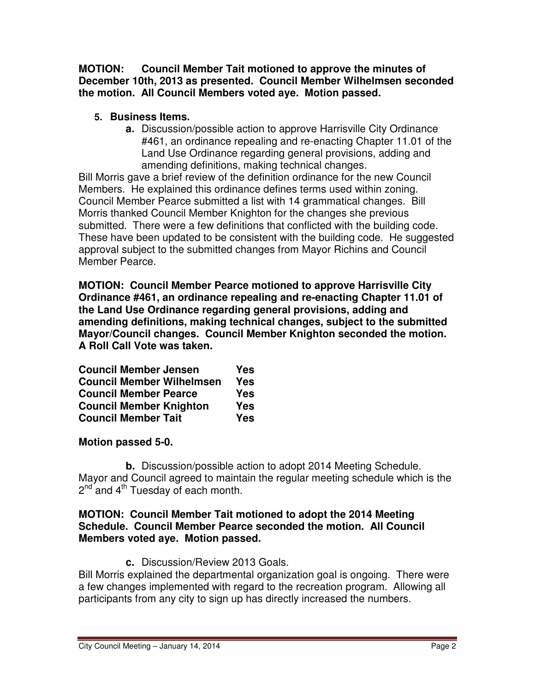**MOTION: Council Member Tait motioned to approve the minutes of December 10th, 2013 as presented. Council Member Wilhelmsen seconded the motion. All Council Members voted aye. Motion passed.** 

## **5. Business Items.**

**a.** Discussion/possible action to approve Harrisville City Ordinance #461, an ordinance repealing and re-enacting Chapter 11.01 of the Land Use Ordinance regarding general provisions, adding and amending definitions, making technical changes.

Bill Morris gave a brief review of the definition ordinance for the new Council Members. He explained this ordinance defines terms used within zoning. Council Member Pearce submitted a list with 14 grammatical changes. Bill Morris thanked Council Member Knighton for the changes she previous submitted. There were a few definitions that conflicted with the building code. These have been updated to be consistent with the building code. He suggested approval subject to the submitted changes from Mayor Richins and Council Member Pearce.

**MOTION: Council Member Pearce motioned to approve Harrisville City Ordinance #461, an ordinance repealing and re-enacting Chapter 11.01 of the Land Use Ordinance regarding general provisions, adding and amending definitions, making technical changes, subject to the submitted Mayor/Council changes. Council Member Knighton seconded the motion. A Roll Call Vote was taken.** 

| <b>Council Member Jensen</b>     | Yes        |
|----------------------------------|------------|
| <b>Council Member Wilhelmsen</b> | <b>Yes</b> |
| <b>Council Member Pearce</b>     | <b>Yes</b> |
| <b>Council Member Knighton</b>   | <b>Yes</b> |
| <b>Council Member Tait</b>       | <b>Yes</b> |

# **Motion passed 5-0.**

**b.** Discussion/possible action to adopt 2014 Meeting Schedule. Mayor and Council agreed to maintain the regular meeting schedule which is the 2<sup>nd</sup> and 4<sup>th</sup> Tuesday of each month.

### **MOTION: Council Member Tait motioned to adopt the 2014 Meeting Schedule. Council Member Pearce seconded the motion. All Council Members voted aye. Motion passed.**

**c.** Discussion/Review 2013 Goals.

Bill Morris explained the departmental organization goal is ongoing. There were a few changes implemented with regard to the recreation program. Allowing all participants from any city to sign up has directly increased the numbers.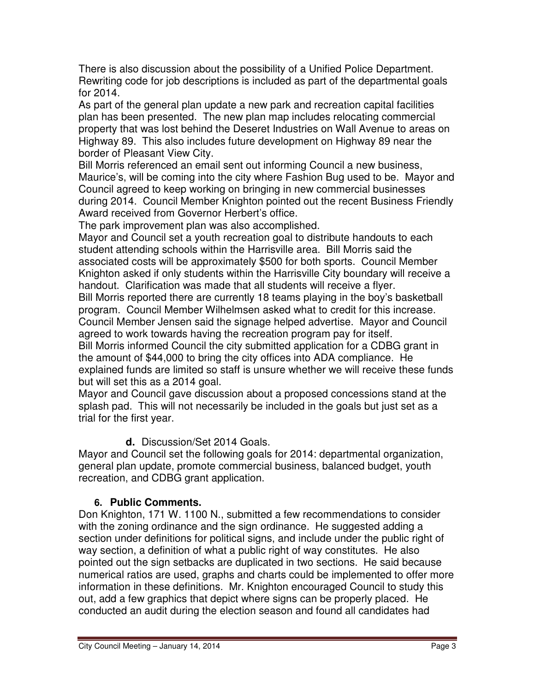There is also discussion about the possibility of a Unified Police Department. Rewriting code for job descriptions is included as part of the departmental goals for 2014.

As part of the general plan update a new park and recreation capital facilities plan has been presented. The new plan map includes relocating commercial property that was lost behind the Deseret Industries on Wall Avenue to areas on Highway 89. This also includes future development on Highway 89 near the border of Pleasant View City.

Bill Morris referenced an email sent out informing Council a new business, Maurice's, will be coming into the city where Fashion Bug used to be. Mayor and Council agreed to keep working on bringing in new commercial businesses during 2014. Council Member Knighton pointed out the recent Business Friendly Award received from Governor Herbert's office.

The park improvement plan was also accomplished.

Mayor and Council set a youth recreation goal to distribute handouts to each student attending schools within the Harrisville area. Bill Morris said the associated costs will be approximately \$500 for both sports. Council Member Knighton asked if only students within the Harrisville City boundary will receive a handout. Clarification was made that all students will receive a flyer.

Bill Morris reported there are currently 18 teams playing in the boy's basketball program. Council Member Wilhelmsen asked what to credit for this increase. Council Member Jensen said the signage helped advertise. Mayor and Council agreed to work towards having the recreation program pay for itself.

Bill Morris informed Council the city submitted application for a CDBG grant in the amount of \$44,000 to bring the city offices into ADA compliance. He explained funds are limited so staff is unsure whether we will receive these funds but will set this as a 2014 goal.

Mayor and Council gave discussion about a proposed concessions stand at the splash pad. This will not necessarily be included in the goals but just set as a trial for the first year.

**d.** Discussion/Set 2014 Goals.

Mayor and Council set the following goals for 2014: departmental organization, general plan update, promote commercial business, balanced budget, youth recreation, and CDBG grant application.

# **6. Public Comments.**

Don Knighton, 171 W. 1100 N., submitted a few recommendations to consider with the zoning ordinance and the sign ordinance. He suggested adding a section under definitions for political signs, and include under the public right of way section, a definition of what a public right of way constitutes. He also pointed out the sign setbacks are duplicated in two sections. He said because numerical ratios are used, graphs and charts could be implemented to offer more information in these definitions. Mr. Knighton encouraged Council to study this out, add a few graphics that depict where signs can be properly placed. He conducted an audit during the election season and found all candidates had